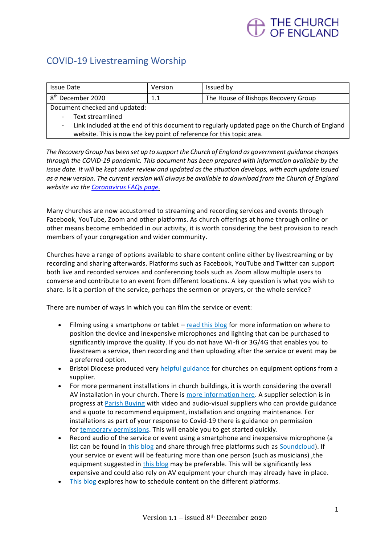## THE CHURCH<br>OF FNGI AND

## COVID-19 Livestreaming Worship

| Issue Date                                 | Version          | Issued by                           |
|--------------------------------------------|------------------|-------------------------------------|
| <sub>1</sub> 8 <sup>th</sup> December 2020 | 11<br><b>L.L</b> | The House of Bishops Recovery Group |
| Document checked and updated:              |                  |                                     |
| Tout stroomlingd                           |                  |                                     |

Text streamlined

Link included at the end of this document to regularly updated page on the Church of England website. This is now the key point of reference for this topic area.

*The Recovery Group has been set up to support the Church of England as government guidance changes through the COVID-19 pandemic. This document has been prepared with information available by the issue date. It will be kept under review and updated as the situation develops, with each update issued as a new version. The current version will always be available to download from the Church of England website via th[e Coronavirus FAQs page.](https://www.churchofengland.org/more/media-centre/coronavirus-covid-19-guidance-churches)*

Many churches are now accustomed to streaming and recording services and events through Facebook, YouTube, Zoom and other platforms. As church offerings at home through online or other means become embedded in our activity, it is worth considering the best provision to reach members of your congregation and wider community.

Churches have a range of options available to share content online either by livestreaming or by recording and sharing afterwards. Platforms such as Facebook, YouTube and Twitter can support both live and recorded services and conferencing tools such as Zoom allow multiple users to converse and contribute to an event from different locations. A key question is what you wish to share. Is it a portion of the service, perhaps the sermon or prayers, or the whole service?

There are number of ways in which you can film the service or event:

- Filming using a smartphone or tablet [read this blog](https://www.churchofengland.org/How-to-set-up-to-film-a-video-on-your-phone) for more information on where to position the device and inexpensive microphones and lighting that can be purchased to significantly improve the quality. If you do not have Wi-fi or 3G/4G that enables you to livestream a service, then recording and then uploading after the service or event may be a preferred option.
- Bristol Diocese produced very [helpful guidance](https://www.bristol.anglican.org/news/church-online-in-the-next-phase-advice-and-considerations.php) for churches on equipment options from a supplier.
- For more permanent installations in church buildings, it is worth considering the overall AV installation in your church. There is [more information here.](https://www.churchofengland.org/more/church-resources/churchcare/advice-and-guidance-church-buildings/audio-visual-and-electrical) A supplier selection is in progress at [Parish Buying](http://www.parishbuying.org.uk/audio-visual) with video and audio-visual suppliers who can provide guidance and a quote to recommend equipment, installation and ongoing maintenance. For installations as part of your response to Covid-19 there is guidance on permission for [temporary permissions.](https://www.churchofengland.org/sites/default/files/2020-06/Permission%20for%20temporary%20changes%20to%20cathedral%20and%20church%20buildings%20v.1_0.pdf) This will enable you to get started quickly.
- Record audio of the service or event using a smartphone and inexpensive microphone (a list can be found in [this blog](https://www.churchofengland.org/How-to-set-up-to-film-a-video-on-your-phone) and share through free platforms such as [Soundcloud\)](https://soundcloud.com/the-church-of-england). If your service or event will be featuring more than one person (such as musicians) ,the equipment suggested in [this blog](https://www.churchofengland.org/more/church-resources/digital-labs/labs-learning-blog/how-improve-audio-quality-video-recordings) may be preferable. This will be significantly less expensive and could also rely on AV equipment your church may already have in place.
- [This blog](https://www.churchofengland.org/more/church-resources/digital-labs/labs-learning-blog/cant-live-stream-your-service-or-event) explores how to schedule content on the different platforms.